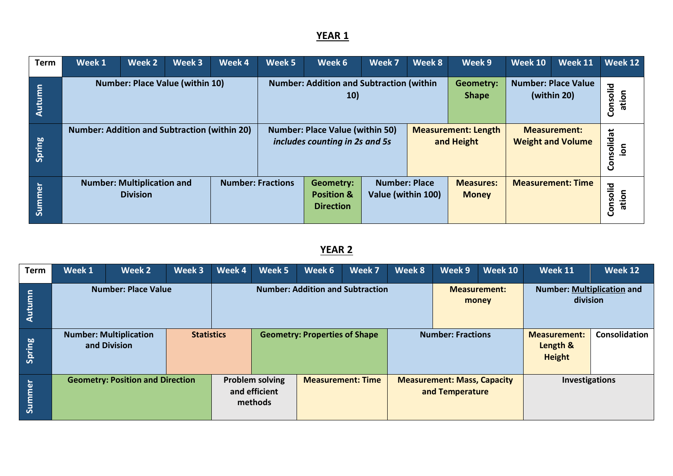| <b>Term</b> | Week 1                                                                           | Week 2 | Week 3 | Week 4 | Week 5 | Week 6                                                                   | Week 7                                                                         | Week 8 | Week 9                                   | <b>Week 10</b>                            | Week 11                                         | Week 12            |
|-------------|----------------------------------------------------------------------------------|--------|--------|--------|--------|--------------------------------------------------------------------------|--------------------------------------------------------------------------------|--------|------------------------------------------|-------------------------------------------|-------------------------------------------------|--------------------|
| Autumn      | <b>Number: Place Value (within 10)</b>                                           |        |        |        |        | <b>Number: Addition and Subtraction (within</b><br><b>10)</b>            |                                                                                |        | <b>Geometry:</b><br><b>Shape</b>         | <b>Number: Place Value</b><br>(within 20) | Consolid<br>ation                               |                    |
| Spring      | <b>Number: Addition and Subtraction (within 20)</b>                              |        |        |        |        | <b>Number: Place Value (within 50)</b><br>includes counting in 2s and 5s |                                                                                |        | <b>Measurement: Length</b><br>and Height |                                           | <b>Measurement:</b><br><b>Weight and Volume</b> | Consolidat<br>noi. |
| Summer      | <b>Number: Fractions</b><br><b>Number: Multiplication and</b><br><b>Division</b> |        |        |        |        | <b>Geometry:</b><br><b>Position &amp;</b><br><b>Direction</b>            | <b>Number: Place</b><br><b>Measures:</b><br>Value (within 100)<br><b>Money</b> |        |                                          |                                           | <b>Measurement: Time</b>                        | Consolid<br>ation  |

| <b>Term</b>   | Week 1                                                             | Week 2 | Week 3 | Week 4                                                                         | Week 5                               | Week 6                                                                  | Week 7 | Week 8 | Week 9                                                | Week 10                  | Week 11                                          | Week 12                                       |  |  |
|---------------|--------------------------------------------------------------------|--------|--------|--------------------------------------------------------------------------------|--------------------------------------|-------------------------------------------------------------------------|--------|--------|-------------------------------------------------------|--------------------------|--------------------------------------------------|-----------------------------------------------|--|--|
| <u>Autumn</u> | <b>Number: Place Value</b>                                         |        |        |                                                                                |                                      | <b>Number: Addition and Subtraction</b><br><b>Measurement:</b><br>money |        |        |                                                       |                          |                                                  | <b>Number: Multiplication and</b><br>division |  |  |
| Spring        | <b>Number: Multiplication</b><br><b>Statistics</b><br>and Division |        |        |                                                                                | <b>Geometry: Properties of Shape</b> |                                                                         |        |        |                                                       | <b>Number: Fractions</b> | <b>Measurement:</b><br>Length &<br><b>Height</b> | Consolidation                                 |  |  |
| Summer        | <b>Geometry: Position and Direction</b>                            |        |        | <b>Problem solving</b><br><b>Measurement: Time</b><br>and efficient<br>methods |                                      |                                                                         |        |        | <b>Measurement: Mass, Capacity</b><br>and Temperature |                          | <b>Investigations</b>                            |                                               |  |  |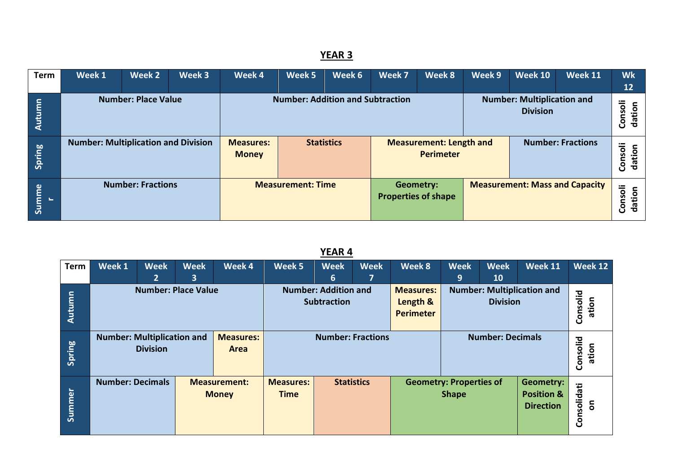| <b>Term</b> | Week 1                                     | Week 2                                                                                                                        | Week 3 | Week 4                           | Week 5                   | Week 6            | Week 7           | Week 8                                             | Week 9            | <b>Week 10</b> | <b>Week 11</b>                        | <b>Wk</b><br>12   |
|-------------|--------------------------------------------|-------------------------------------------------------------------------------------------------------------------------------|--------|----------------------------------|--------------------------|-------------------|------------------|----------------------------------------------------|-------------------|----------------|---------------------------------------|-------------------|
| Autumn      |                                            | <b>Number: Addition and Subtraction</b><br><b>Number: Place Value</b><br><b>Number: Multiplication and</b><br><b>Division</b> |        |                                  |                          |                   |                  |                                                    | Consoli<br>dation |                |                                       |                   |
| Spring      | <b>Number: Multiplication and Division</b> |                                                                                                                               |        | <b>Measures:</b><br><b>Money</b> |                          | <b>Statistics</b> |                  | <b>Measurement: Length and</b><br><b>Perimeter</b> |                   |                | <b>Number: Fractions</b>              | Consoli<br>dation |
| Summe       |                                            | <b>Number: Fractions</b>                                                                                                      |        |                                  | <b>Measurement: Time</b> |                   | <b>Geometry:</b> | <b>Properties of shape</b>                         |                   |                | <b>Measurement: Mass and Capacity</b> | Consoli<br>dation |

| <b>Term</b> | Week 1                                                                           | <b>Week</b><br>$\mathbf{2}$                                    | <b>Week</b><br>3 | Week 4                          | Week 5 | <b>Week</b><br>6                                  | <b>Week</b><br>7                               | Week 8                                           | <b>Week</b><br>9                  | <b>Week</b><br>10                                      | Week 11          | <b>Week 12</b>    |
|-------------|----------------------------------------------------------------------------------|----------------------------------------------------------------|------------------|---------------------------------|--------|---------------------------------------------------|------------------------------------------------|--------------------------------------------------|-----------------------------------|--------------------------------------------------------|------------------|-------------------|
| Autumn      | <b>Number: Place Value</b>                                                       |                                                                |                  |                                 |        | <b>Number: Addition and</b><br><b>Subtraction</b> |                                                | <b>Measures:</b><br>Length &<br><b>Perimeter</b> | <b>Number: Multiplication and</b> | Consolid<br>ation                                      |                  |                   |
| Spring      | <b>Number: Multiplication and</b><br><b>Measures:</b><br><b>Division</b><br>Area |                                                                |                  |                                 |        |                                                   | <b>Number: Fractions</b>                       |                                                  |                                   | <b>Number: Decimals</b>                                |                  | Consolid<br>ation |
| Summer      |                                                                                  | <b>Number: Decimals</b><br><b>Measurement:</b><br><b>Money</b> |                  | <b>Measures:</b><br><b>Time</b> |        | <b>Statistics</b>                                 | <b>Geometry: Properties of</b><br><b>Shape</b> |                                                  |                                   | Geometry:<br><b>Position &amp;</b><br><b>Direction</b> | Consolidati<br>ã |                   |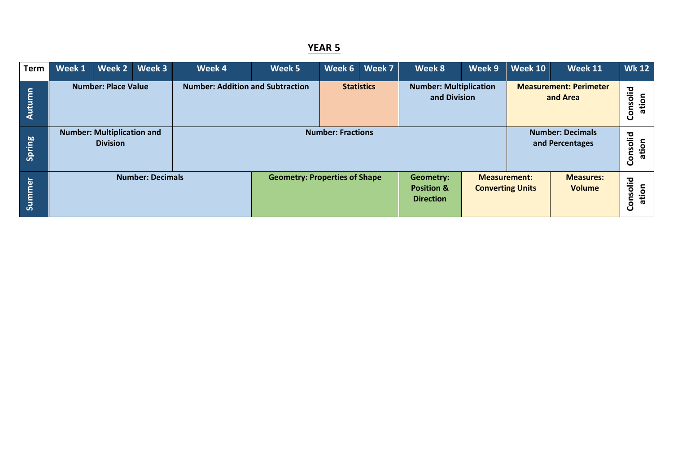| <b>Term</b> | Week 1                     | Week 2                                               | Week 3 | Week 4                                  | Week 5 | Week 6                   | Week 7                                                        | Week 8                                        | Week 9                                         | <b>Week 10</b>                             | <b>Week 11</b>               | <b>Wk 12</b> |
|-------------|----------------------------|------------------------------------------------------|--------|-----------------------------------------|--------|--------------------------|---------------------------------------------------------------|-----------------------------------------------|------------------------------------------------|--------------------------------------------|------------------------------|--------------|
| Autumn      | <b>Number: Place Value</b> |                                                      |        | <b>Number: Addition and Subtraction</b> |        | <b>Statistics</b>        |                                                               | <b>Number: Multiplication</b><br>and Division |                                                | <b>Measurement: Perimeter</b><br>and Area  | solid<br>ation<br><b>Gon</b> |              |
| Spring      |                            | <b>Number: Multiplication and</b><br><b>Division</b> |        |                                         |        | <b>Number: Fractions</b> |                                                               |                                               |                                                | <b>Number: Decimals</b><br>and Percentages | Consolid<br>ation            |              |
| Summer      | <b>Number: Decimals</b>    |                                                      |        | <b>Geometry: Properties of Shape</b>    |        |                          | <b>Geometry:</b><br><b>Position &amp;</b><br><b>Direction</b> |                                               | <b>Measurement:</b><br><b>Converting Units</b> | <b>Measures:</b><br><b>Volume</b>          | olid<br>ation<br>Cons        |              |